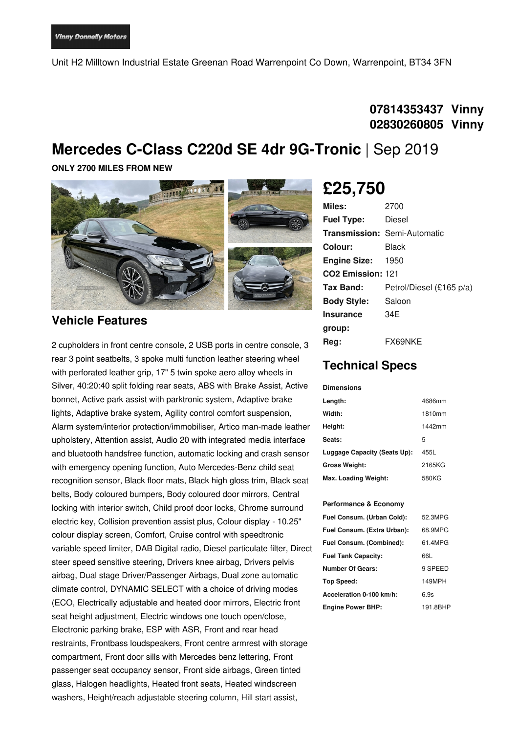Unit H2 Milltown Industrial Estate Greenan Road Warrenpoint Co Down, Warrenpoint, BT34 3FN

## **07814353437 Vinny 02830260805 Vinny**

# **Mercedes C-Class C220d SE 4dr 9G-Tronic** | Sep 2019

**ONLY 2700 MILES FROM NEW**



#### **Vehicle Features**

2 cupholders in front centre console, 2 USB ports in centre console, 3 rear 3 point seatbelts, 3 spoke multi function leather steering wheel with perforated leather grip, 17" 5 twin spoke aero alloy wheels in Silver, 40:20:40 split folding rear seats, ABS with Brake Assist, Active bonnet, Active park assist with parktronic system, Adaptive brake lights, Adaptive brake system, Agility control comfort suspension, Alarm system/interior protection/immobiliser, Artico man-made leather upholstery, Attention assist, Audio 20 with integrated media interface and bluetooth handsfree function, automatic locking and crash sensor with emergency opening function, Auto Mercedes-Benz child seat recognition sensor, Black floor mats, Black high gloss trim, Black seat belts, Body coloured bumpers, Body coloured door mirrors, Central locking with interior switch, Child proof door locks, Chrome surround electric key, Collision prevention assist plus, Colour display - 10.25" colour display screen, Comfort, Cruise control with speedtronic variable speed limiter, DAB Digital radio, Diesel particulate filter, Direct steer speed sensitive steering, Drivers knee airbag, Drivers pelvis airbag, Dual stage Driver/Passenger Airbags, Dual zone automatic climate control, DYNAMIC SELECT with a choice of driving modes (ECO, Electrically adjustable and heated door mirrors, Electric front seat height adjustment, Electric windows one touch open/close, Electronic parking brake, ESP with ASR, Front and rear head restraints, Frontbass loudspeakers, Front centre armrest with storage compartment, Front door sills with Mercedes benz lettering, Front passenger seat occupancy sensor, Front side airbags, Green tinted glass, Halogen headlights, Heated front seats, Heated windscreen washers, Height/reach adjustable steering column, Hill start assist,

## **£25,750**

| Miles:                        | 2700                                |
|-------------------------------|-------------------------------------|
| <b>Fuel Type:</b>             | Diesel                              |
|                               | <b>Transmission: Semi-Automatic</b> |
| Colour:                       | Black                               |
| <b>Engine Size:</b>           | 1950                                |
| CO <sub>2</sub> Emission: 121 |                                     |
| Tax Band:                     | Petrol/Diesel (£165 p/a)            |
| <b>Body Style:</b>            | Saloon                              |
| <b>Insurance</b>              | 34F                                 |
| group:                        |                                     |
| Rea:                          | FX69NKE                             |

## **Technical Specs**

#### **Dimensions**

| Length:                      | 4686mm |
|------------------------------|--------|
| Width:                       | 1810mm |
| Height:                      | 1442mm |
| Seats:                       | 5      |
| Luggage Capacity (Seats Up): | 455L   |
| <b>Gross Weight:</b>         | 2165KG |
| Max. Loading Weight:         | 580KG  |

#### **Performance & Economy**

| Fuel Consum. (Urban Cold):  | 52.3MPG  |
|-----------------------------|----------|
| Fuel Consum. (Extra Urban): | 68.9MPG  |
| Fuel Consum. (Combined):    | 61.4MPG  |
| <b>Fuel Tank Capacity:</b>  | 66L      |
| <b>Number Of Gears:</b>     | 9 SPEED  |
| Top Speed:                  | 149MPH   |
| Acceleration 0-100 km/h:    | 6.9s     |
| <b>Engine Power BHP:</b>    | 191.8BHP |